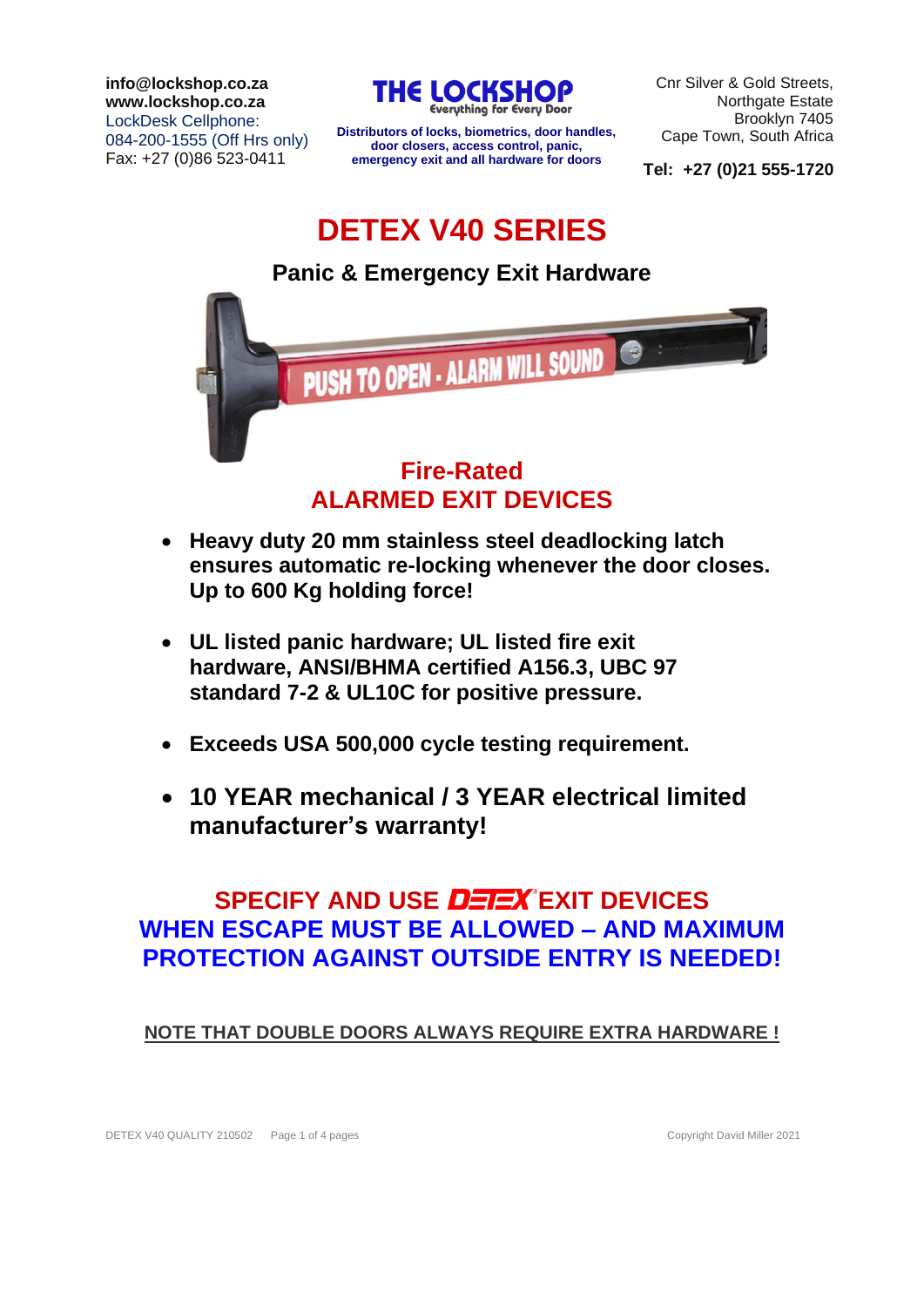**info@lockshop.co.za www.lockshop.co.za** LockDesk Cellphone: 084-200-1555 (Off Hrs only) Fax: +27 (0)86 523-0411

THE LOCK! **Everything for Every Door** 

**Distributors of locks, biometrics, door handles, door closers, access control, panic, emergency exit and all hardware for doors**

Cnr Silver & Gold Streets, Northgate Estate Brooklyn 7405 Cape Town, South Africa

**Tel: +27 (0)21 555-1720**

# **DETEX V40 SERIES**

## **Panic & Emergency Exit Hardware**



**ALARMED EXIT DEVICES**

- **Heavy duty 20 mm stainless steel deadlocking latch ensures automatic re-locking whenever the door closes. Up to 600 Kg holding force!**
- **UL listed panic hardware; UL listed fire exit hardware, ANSI/BHMA certified A156.3, UBC 97 standard 7-2 & UL10C for positive pressure.**
- **Exceeds USA 500,000 cycle testing requirement.**
- **10 YEAR mechanical / 3 YEAR electrical limited manufacturer's warranty!**

# **SPECIFY AND USE DETEX EXIT DEVICES WHEN ESCAPE MUST BE ALLOWED – AND MAXIMUM PROTECTION AGAINST OUTSIDE ENTRY IS NEEDED!**

## **NOTE THAT DOUBLE DOORS ALWAYS REQUIRE EXTRA HARDWARE !**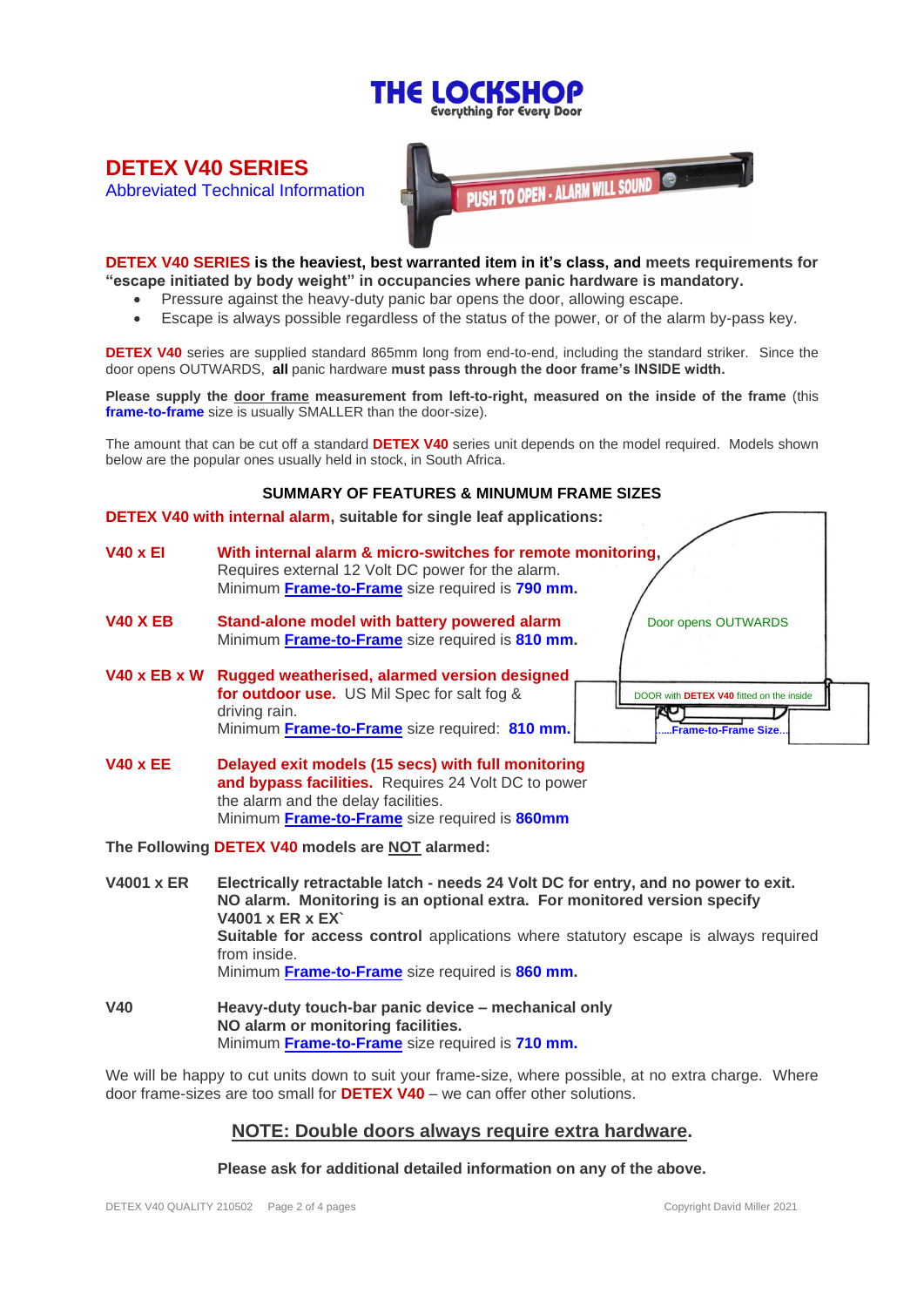# THE LOCKSHO

**Everything for Every Door** 

## **DETEX V40 SERIES**

Abbreviated Technical Information



**DETEX V40 SERIES is the heaviest, best warranted item in it's class, and meets requirements for "escape initiated by body weight" in occupancies where panic hardware is mandatory.**

- Pressure against the heavy-duty panic bar opens the door, allowing escape.
- Escape is always possible regardless of the status of the power, or of the alarm by-pass key.

**DETEX V40** series are supplied standard 865mm long from end-to-end, including the standard striker. Since the door opens OUTWARDS, **all** panic hardware **must pass through the door frame's INSIDE width.** 

**Please supply the door frame measurement from left-to-right, measured on the inside of the frame** (this **frame-to-frame** size is usually SMALLER than the door-size).

The amount that can be cut off a standard **DETEX V40** series unit depends on the model required. Models shown below are the popular ones usually held in stock, in South Africa.

#### **SUMMARY OF FEATURES & MINUMUM FRAME SIZES**

**DETEX V40 with internal alarm, suitable for single leaf applications:**

- **V40 x EI With internal alarm & micro-switches for remote monitoring,** Requires external 12 Volt DC power for the alarm. Minimum **Frame-to-Frame** size required is **790 mm.**
- **V40 X EB Stand-alone model with battery powered alarm**  $\sqrt{\frac{D_{\text{OO}}}{D_{\text{OO}}}$  Door opens OUTWARDS Minimum **Frame-to-Frame** size required is **810 mm.**
- **V40 x EB x W Rugged weatherised, alarmed version designed for outdoor use.** US Mil Spec for salt fog & **DOOR** with **DETEX V40** fitted on the inside driving rain.



וטאַ Minimum **Frame-to-Frame** size required: **810 mm. …...Frame-to-Frame Size… V40 x EE Delayed exit models (15 secs) with full monitoring and bypass facilities.** Requires 24 Volt DC to power

> the alarm and the delay facilities. Minimum **Frame-to-Frame** size required is **860mm**

**The Following DETEX V40 models are NOT alarmed:**

- **V4001 x ER Electrically retractable latch - needs 24 Volt DC for entry, and no power to exit. NO alarm. Monitoring is an optional extra. For monitored version specify V4001 x ER x EX` Suitable for access control** applications where statutory escape is always required from inside. Minimum **Frame-to-Frame** size required is **860 mm.**
- **V40 Heavy-duty touch-bar panic device – mechanical only NO alarm or monitoring facilities.** Minimum **Frame-to-Frame** size required is **710 mm.**

We will be happy to cut units down to suit your frame-size, where possible, at no extra charge. Where door frame-sizes are too small for **DETEX V40** – we can offer other solutions.

### **NOTE: Double doors always require extra hardware.**

#### **Please ask for additional detailed information on any of the above.**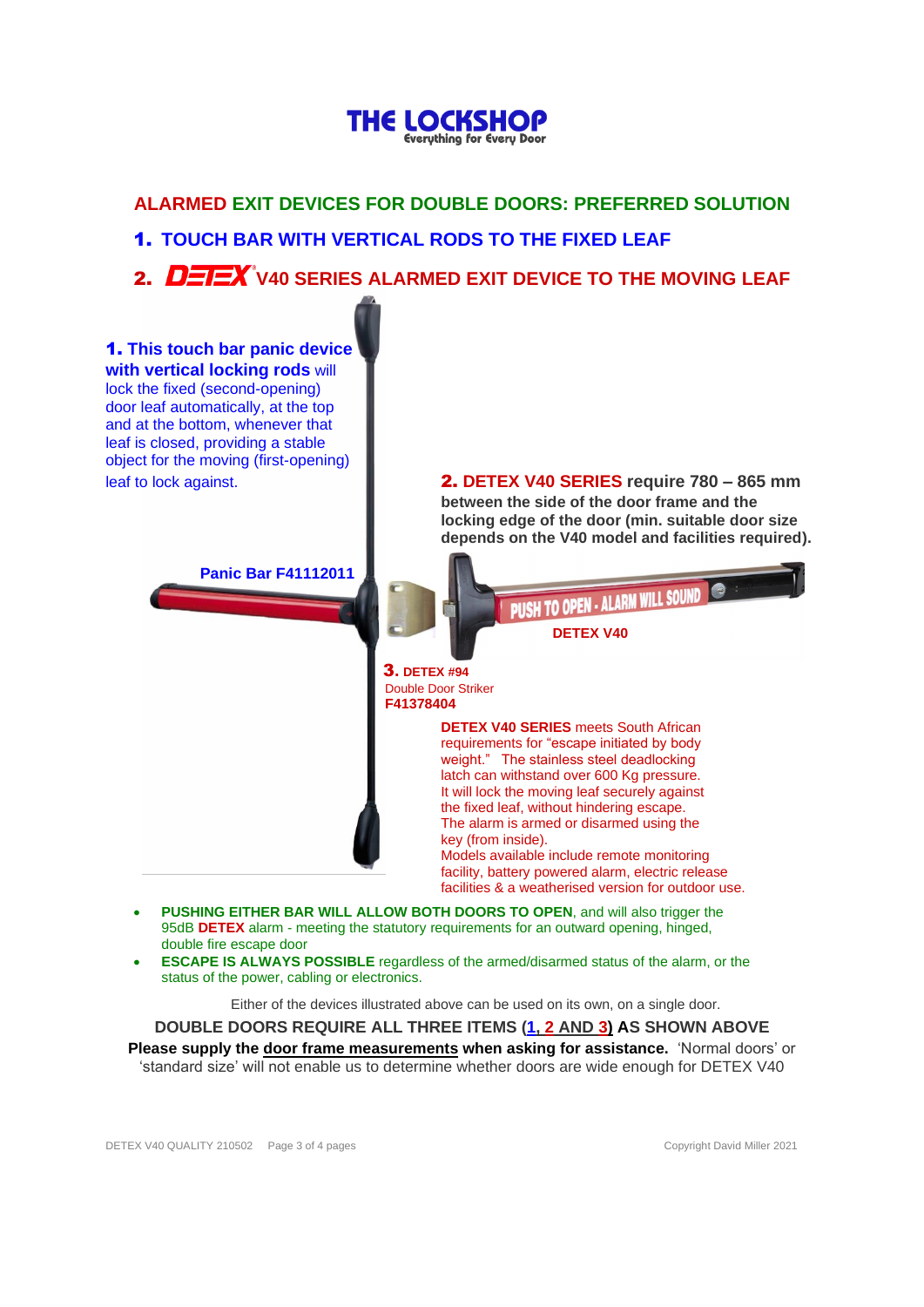

**ALARMED EXIT DEVICES FOR DOUBLE DOORS: PREFERRED SOLUTION**

1. **TOUCH BAR WITH VERTICAL RODS TO THE FIXED LEAF**

## 2. DETEX<sup>°</sup>V40 SERIES ALARMED EXIT DEVICE TO THE MOVING LEAF



- **PUSHING EITHER BAR WILL ALLOW BOTH DOORS TO OPEN**, and will also trigger the 95dB **DETEX** alarm - meeting the statutory requirements for an outward opening, hinged, double fire escape door
- **ESCAPE IS ALWAYS POSSIBLE** regardless of the armed/disarmed status of the alarm, or the status of the power, cabling or electronics.

Either of the devices illustrated above can be used on its own, on a single door.

**DOUBLE DOORS REQUIRE ALL THREE ITEMS (1, 2 AND 3) AS SHOWN ABOVE**

**Please supply the door frame measurements when asking for assistance.** 'Normal doors' or 'standard size' will not enable us to determine whether doors are wide enough for DETEX V40